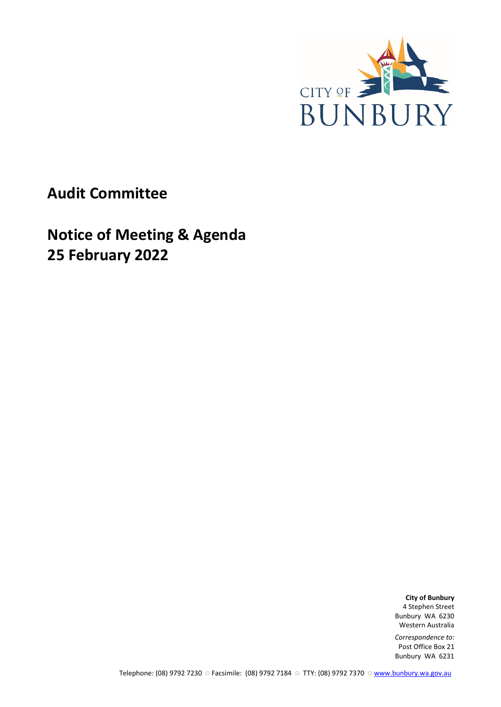

**Audit Committee**

**Notice of Meeting & Agenda 25 February 2022**

> **City of Bunbury** 4 Stephen Street Bunbury WA 6230 Western Australia

*Correspondence to:* Post Office Box 21 Bunbury WA 6231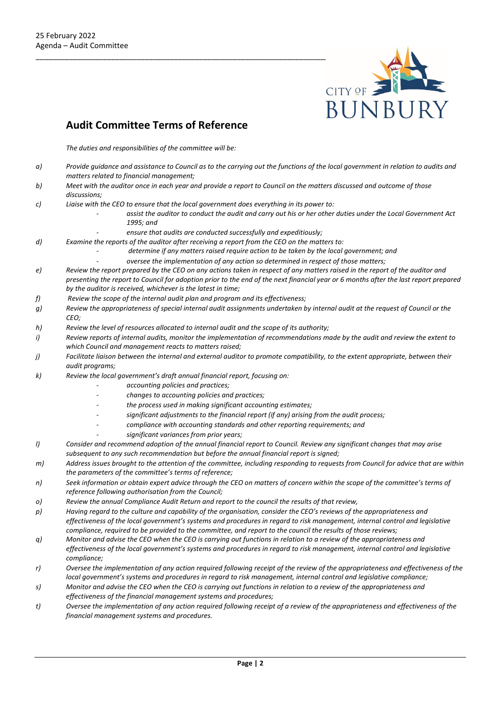

## **Audit Committee Terms of Reference**

*The duties and responsibilities of the committee will be:*

- *a) Provide guidance and assistance to Council as to the carrying out the functions of the local government in relation to audits and matters related to financial management;*
- *b) Meet with the auditor once in each year and provide a report to Council on the matters discussed and outcome of those discussions;*
- *c) Liaise with the CEO to ensure that the local government does everything in its power to:* 
	- *- assist the auditor to conduct the audit and carry out his or her other duties under the Local Government Act 1995; and* 
		- *- ensure that audits are conducted successfully and expeditiously;*
- *d) Examine the reports of the auditor after receiving a report from the CEO on the matters to:* 
	- *- determine if any matters raised require action to be taken by the local government; and*
	- *- oversee the implementation of any action so determined in respect of those matters;*
- *e) Review the report prepared by the CEO on any actions taken in respect of any matters raised in the report of the auditor and presenting the report to Council for adoption prior to the end of the next financial year or 6 months after the last report prepared by the auditor is received, whichever is the latest in time;*
- *f) Review the scope of the internal audit plan and program and its effectiveness;*
- *g) Review the appropriateness of special internal audit assignments undertaken by internal audit at the request of Council or the CEO;*
- *h) Review the level of resources allocated to internal audit and the scope of its authority;*
- *i) Review reports of internal audits, monitor the implementation of recommendations made by the audit and review the extent to which Council and management reacts to matters raised;*
- *j) Facilitate liaison between the internal and external auditor to promote compatibility, to the extent appropriate, between their audit programs;*
- *k) Review the local government's draft annual financial report, focusing on:* 
	- *- accounting policies and practices;*
	- *- changes to accounting policies and practices;*
	- *- the process used in making significant accounting estimates;*
	- *- significant adjustments to the financial report (if any) arising from the audit process;*
	- *- compliance with accounting standards and other reporting requirements; and* 
		- *- significant variances from prior years;*
- *l) Consider and recommend adoption of the annual financial report to Council. Review any significant changes that may arise subsequent to any such recommendation but before the annual financial report is signed;*
- *m) Address issues brought to the attention of the committee, including responding to requests from Council for advice that are within the parameters of the committee's terms of reference;*
- *n) Seek information or obtain expert advice through the CEO on matters of concern within the scope of the committee's terms of reference following authorisation from the Council;*
- *o) Review the annual Compliance Audit Return and report to the council the results of that review,*
- *p) Having regard to the culture and capability of the organisation, consider the CEO's reviews of the appropriateness and effectiveness of the local government's systems and procedures in regard to risk management, internal control and legislative compliance, required to be provided to the committee, and report to the council the results of those reviews;*
- *q) Monitor and advise the CEO when the CEO is carrying out functions in relation to a review of the appropriateness and effectiveness of the local government's systems and procedures in regard to risk management, internal control and legislative compliance;*
- *r) Oversee the implementation of any action required following receipt of the review of the appropriateness and effectiveness of the local government's systems and procedures in regard to risk management, internal control and legislative compliance;*
- *s) Monitor and advise the CEO when the CEO is carrying out functions in relation to a review of the appropriateness and effectiveness of the financial management systems and procedures;*
- *t) Oversee the implementation of any action required following receipt of a review of the appropriateness and effectiveness of the financial management systems and procedures.*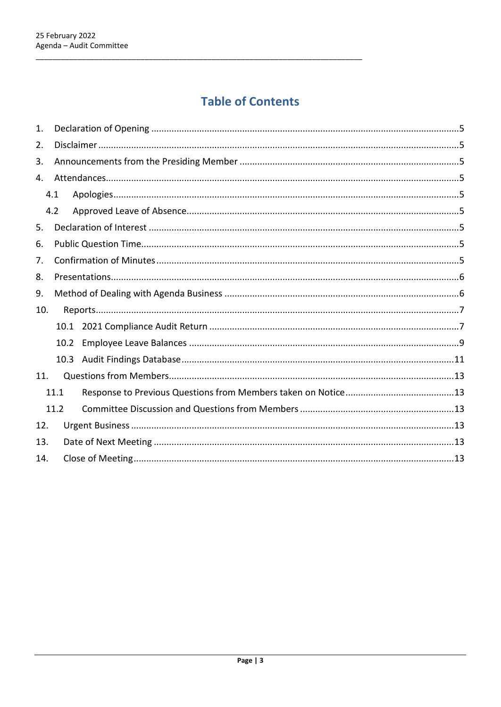# **Table of Contents**

| 1.  |                   |  |  |  |  |
|-----|-------------------|--|--|--|--|
| 2.  |                   |  |  |  |  |
| 3.  |                   |  |  |  |  |
| 4.  |                   |  |  |  |  |
|     | 4.1               |  |  |  |  |
|     | 4.2               |  |  |  |  |
| 5.  |                   |  |  |  |  |
| 6.  |                   |  |  |  |  |
| 7.  |                   |  |  |  |  |
| 8.  |                   |  |  |  |  |
| 9.  |                   |  |  |  |  |
| 10. |                   |  |  |  |  |
|     |                   |  |  |  |  |
|     | 10.2 <sub>1</sub> |  |  |  |  |
|     |                   |  |  |  |  |
| 11. |                   |  |  |  |  |
|     | 11.1              |  |  |  |  |
|     | 11.2              |  |  |  |  |
| 12. |                   |  |  |  |  |
| 13. |                   |  |  |  |  |
| 14. |                   |  |  |  |  |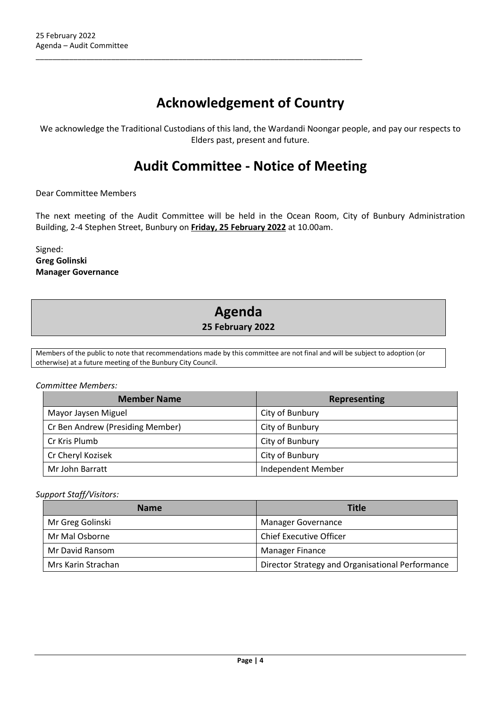# **Acknowledgement of Country**

\_\_\_\_\_\_\_\_\_\_\_\_\_\_\_\_\_\_\_\_\_\_\_\_\_\_\_\_\_\_\_\_\_\_\_\_\_\_\_\_\_\_\_\_\_\_\_\_\_\_\_\_\_\_\_\_\_\_\_\_\_\_\_\_\_\_\_\_\_\_\_\_\_\_\_\_\_\_

We acknowledge the Traditional Custodians of this land, the Wardandi Noongar people, and pay our respects to Elders past, present and future.

## **Audit Committee - Notice of Meeting**

Dear Committee Members

The next meeting of the Audit Committee will be held in the Ocean Room, City of Bunbury Administration Building, 2-4 Stephen Street, Bunbury on **Friday, 25 February 2022** at 10.00am.

Signed: **Greg Golinski Manager Governance**

## **Agenda 25 February 2022**

Members of the public to note that recommendations made by this committee are not final and will be subject to adoption (or otherwise) at a future meeting of the Bunbury City Council.

#### *Committee Members:*

| <b>Member Name</b>               | <b>Representing</b> |  |
|----------------------------------|---------------------|--|
| Mayor Jaysen Miguel              | City of Bunbury     |  |
| Cr Ben Andrew (Presiding Member) | City of Bunbury     |  |
| Cr Kris Plumb                    | City of Bunbury     |  |
| Cr Cheryl Kozisek                | City of Bunbury     |  |
| Mr John Barratt                  | Independent Member  |  |

#### *Support Staff/Visitors:*

| <b>Name</b>        | Title                                            |  |  |
|--------------------|--------------------------------------------------|--|--|
| Mr Greg Golinski   | <b>Manager Governance</b>                        |  |  |
| Mr Mal Osborne     | <b>Chief Executive Officer</b>                   |  |  |
| Mr David Ransom    | <b>Manager Finance</b>                           |  |  |
| Mrs Karin Strachan | Director Strategy and Organisational Performance |  |  |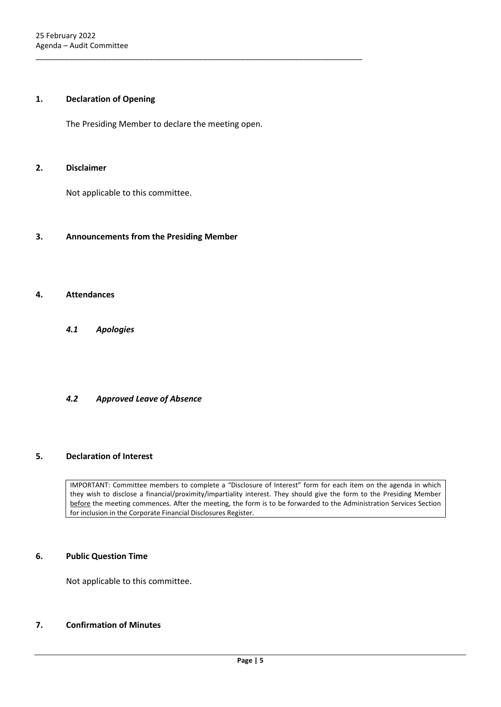#### <span id="page-4-0"></span>**1. Declaration of Opening**

The Presiding Member to declare the meeting open.

\_\_\_\_\_\_\_\_\_\_\_\_\_\_\_\_\_\_\_\_\_\_\_\_\_\_\_\_\_\_\_\_\_\_\_\_\_\_\_\_\_\_\_\_\_\_\_\_\_\_\_\_\_\_\_\_\_\_\_\_\_\_\_\_\_\_\_\_\_\_\_\_\_\_\_\_\_\_

#### <span id="page-4-1"></span>**2. Disclaimer**

Not applicable to this committee.

#### <span id="page-4-2"></span>**3. Announcements from the Presiding Member**

#### <span id="page-4-4"></span><span id="page-4-3"></span>**4. Attendances**

*4.1 Apologies*

#### <span id="page-4-5"></span>*4.2 Approved Leave of Absence*

#### <span id="page-4-6"></span>**5. Declaration of Interest**

IMPORTANT: Committee members to complete a "Disclosure of Interest" form for each item on the agenda in which they wish to disclose a financial/proximity/impartiality interest. They should give the form to the Presiding Member before the meeting commences. After the meeting, the form is to be forwarded to the Administration Services Section for inclusion in the Corporate Financial Disclosures Register.

#### <span id="page-4-7"></span>**6. Public Question Time**

Not applicable to this committee.

#### <span id="page-4-8"></span>**7. Confirmation of Minutes**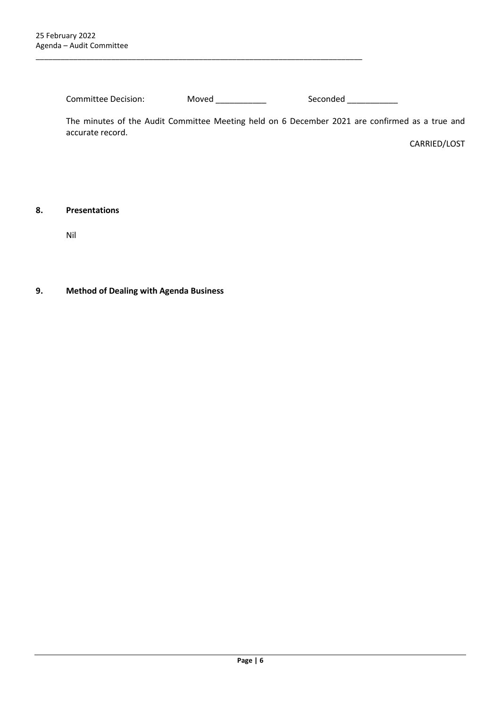Committee Decision: Moved \_\_\_\_\_\_\_\_\_\_\_\_ Seconded \_\_\_\_\_\_\_\_\_\_\_

\_\_\_\_\_\_\_\_\_\_\_\_\_\_\_\_\_\_\_\_\_\_\_\_\_\_\_\_\_\_\_\_\_\_\_\_\_\_\_\_\_\_\_\_\_\_\_\_\_\_\_\_\_\_\_\_\_\_\_\_\_\_\_\_\_\_\_\_\_\_\_\_\_\_\_\_\_\_

The minutes of the Audit Committee Meeting held on 6 December 2021 are confirmed as a true and accurate record.

CARRIED/LOST

#### <span id="page-5-0"></span>**8. Presentations**

Nil

### <span id="page-5-1"></span>**9. Method of Dealing with Agenda Business**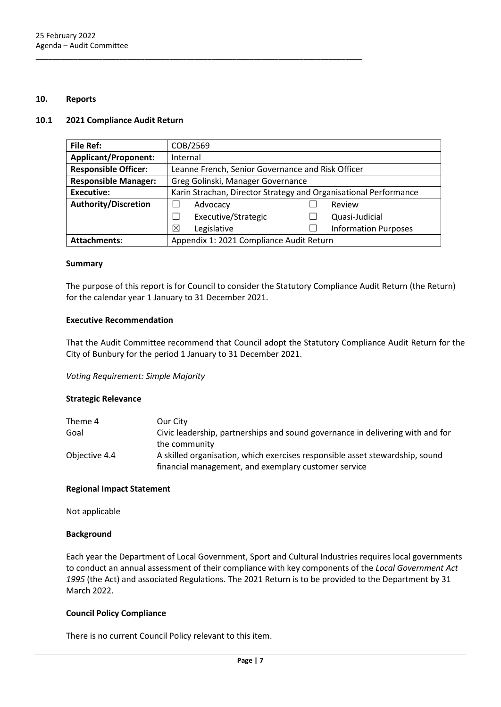#### <span id="page-6-0"></span>**10. Reports**

#### <span id="page-6-1"></span>**10.1 2021 Compliance Audit Return**

| <b>File Ref:</b>            | COB/2569                                                         |  |                             |
|-----------------------------|------------------------------------------------------------------|--|-----------------------------|
| <b>Applicant/Proponent:</b> | Internal                                                         |  |                             |
| <b>Responsible Officer:</b> | Leanne French, Senior Governance and Risk Officer                |  |                             |
| <b>Responsible Manager:</b> | Greg Golinski, Manager Governance                                |  |                             |
| <b>Executive:</b>           | Karin Strachan, Director Strategy and Organisational Performance |  |                             |
| <b>Authority/Discretion</b> | Advocacy                                                         |  | Review                      |
|                             | Executive/Strategic                                              |  | Quasi-Judicial              |
|                             | Legislative<br>⊠                                                 |  | <b>Information Purposes</b> |
| <b>Attachments:</b>         | Appendix 1: 2021 Compliance Audit Return                         |  |                             |

\_\_\_\_\_\_\_\_\_\_\_\_\_\_\_\_\_\_\_\_\_\_\_\_\_\_\_\_\_\_\_\_\_\_\_\_\_\_\_\_\_\_\_\_\_\_\_\_\_\_\_\_\_\_\_\_\_\_\_\_\_\_\_\_\_\_\_\_\_\_\_\_\_\_\_\_\_\_

#### **Summary**

The purpose of this report is for Council to consider the Statutory Compliance Audit Return (the Return) for the calendar year 1 January to 31 December 2021.

#### **Executive Recommendation**

That the Audit Committee recommend that Council adopt the Statutory Compliance Audit Return for the City of Bunbury for the period 1 January to 31 December 2021.

*Voting Requirement: Simple Majority* 

#### **Strategic Relevance**

| Theme 4       | Our City                                                                       |
|---------------|--------------------------------------------------------------------------------|
| Goal          | Civic leadership, partnerships and sound governance in delivering with and for |
|               | the community                                                                  |
| Objective 4.4 | A skilled organisation, which exercises responsible asset stewardship, sound   |
|               | financial management, and exemplary customer service                           |

#### **Regional Impact Statement**

Not applicable

#### **Background**

Each year the Department of Local Government, Sport and Cultural Industries requires local governments to conduct an annual assessment of their compliance with key components of the *Local Government Act 1995* (the Act) and associated Regulations. The 2021 Return is to be provided to the Department by 31 March 2022.

#### **Council Policy Compliance**

There is no current Council Policy relevant to this item.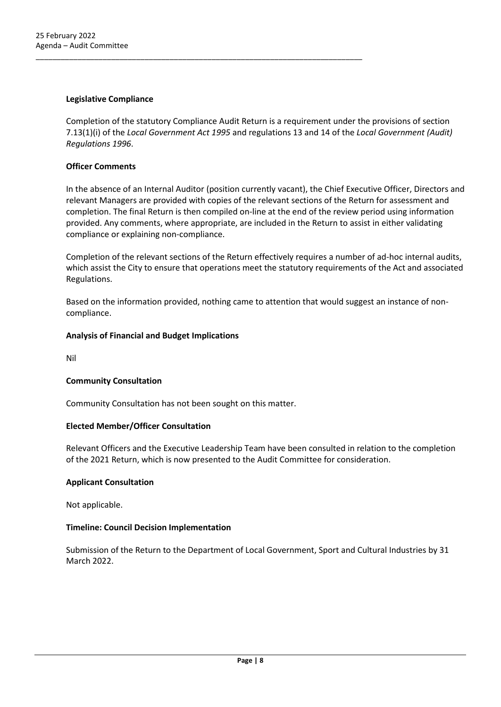#### **Legislative Compliance**

Completion of the statutory Compliance Audit Return is a requirement under the provisions of section 7.13(1)(i) of the *Local Government Act 1995* and regulations 13 and 14 of the *Local Government (Audit) Regulations 1996*.

\_\_\_\_\_\_\_\_\_\_\_\_\_\_\_\_\_\_\_\_\_\_\_\_\_\_\_\_\_\_\_\_\_\_\_\_\_\_\_\_\_\_\_\_\_\_\_\_\_\_\_\_\_\_\_\_\_\_\_\_\_\_\_\_\_\_\_\_\_\_\_\_\_\_\_\_\_\_

#### **Officer Comments**

In the absence of an Internal Auditor (position currently vacant), the Chief Executive Officer, Directors and relevant Managers are provided with copies of the relevant sections of the Return for assessment and completion. The final Return is then compiled on-line at the end of the review period using information provided. Any comments, where appropriate, are included in the Return to assist in either validating compliance or explaining non-compliance.

Completion of the relevant sections of the Return effectively requires a number of ad-hoc internal audits, which assist the City to ensure that operations meet the statutory requirements of the Act and associated Regulations.

Based on the information provided, nothing came to attention that would suggest an instance of noncompliance.

#### **Analysis of Financial and Budget Implications**

Nil

#### **Community Consultation**

Community Consultation has not been sought on this matter.

#### **Elected Member/Officer Consultation**

Relevant Officers and the Executive Leadership Team have been consulted in relation to the completion of the 2021 Return, which is now presented to the Audit Committee for consideration.

#### **Applicant Consultation**

Not applicable.

#### **Timeline: Council Decision Implementation**

Submission of the Return to the Department of Local Government, Sport and Cultural Industries by 31 March 2022.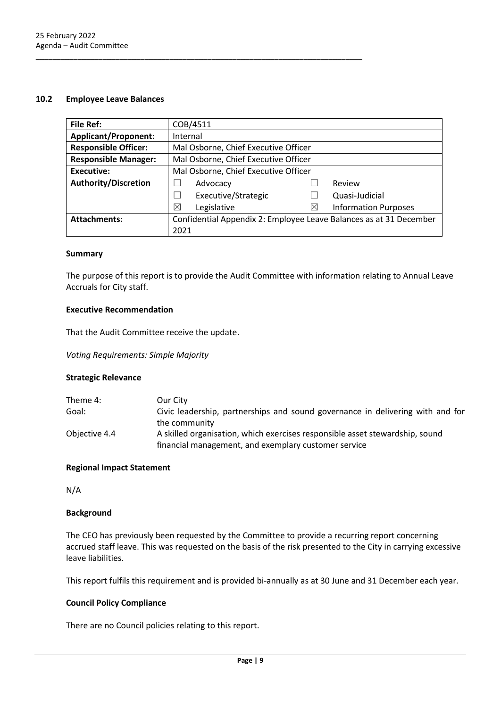#### <span id="page-8-0"></span>**10.2 Employee Leave Balances**

| <b>File Ref:</b>            | COB/4511                                                           |   |                             |
|-----------------------------|--------------------------------------------------------------------|---|-----------------------------|
| <b>Applicant/Proponent:</b> | Internal                                                           |   |                             |
| <b>Responsible Officer:</b> | Mal Osborne, Chief Executive Officer                               |   |                             |
| <b>Responsible Manager:</b> | Mal Osborne, Chief Executive Officer                               |   |                             |
| <b>Executive:</b>           | Mal Osborne, Chief Executive Officer                               |   |                             |
| Authority/Discretion        | Review<br>Advocacy                                                 |   |                             |
|                             | Executive/Strategic                                                |   | Quasi-Judicial              |
|                             | ⊠<br>Legislative                                                   | ⊠ | <b>Information Purposes</b> |
| <b>Attachments:</b>         | Confidential Appendix 2: Employee Leave Balances as at 31 December |   |                             |
|                             | 2021                                                               |   |                             |

\_\_\_\_\_\_\_\_\_\_\_\_\_\_\_\_\_\_\_\_\_\_\_\_\_\_\_\_\_\_\_\_\_\_\_\_\_\_\_\_\_\_\_\_\_\_\_\_\_\_\_\_\_\_\_\_\_\_\_\_\_\_\_\_\_\_\_\_\_\_\_\_\_\_\_\_\_\_

#### **Summary**

The purpose of this report is to provide the Audit Committee with information relating to Annual Leave Accruals for City staff.

#### **Executive Recommendation**

That the Audit Committee receive the update.

*Voting Requirements: Simple Majority*

#### **Strategic Relevance**

| Theme 4:      | Our City                                                                       |
|---------------|--------------------------------------------------------------------------------|
| Goal:         | Civic leadership, partnerships and sound governance in delivering with and for |
|               | the community                                                                  |
| Objective 4.4 | A skilled organisation, which exercises responsible asset stewardship, sound   |
|               | financial management, and exemplary customer service                           |

#### **Regional Impact Statement**

N/A

#### **Background**

The CEO has previously been requested by the Committee to provide a recurring report concerning accrued staff leave. This was requested on the basis of the risk presented to the City in carrying excessive leave liabilities.

This report fulfils this requirement and is provided bi-annually as at 30 June and 31 December each year.

#### **Council Policy Compliance**

There are no Council policies relating to this report.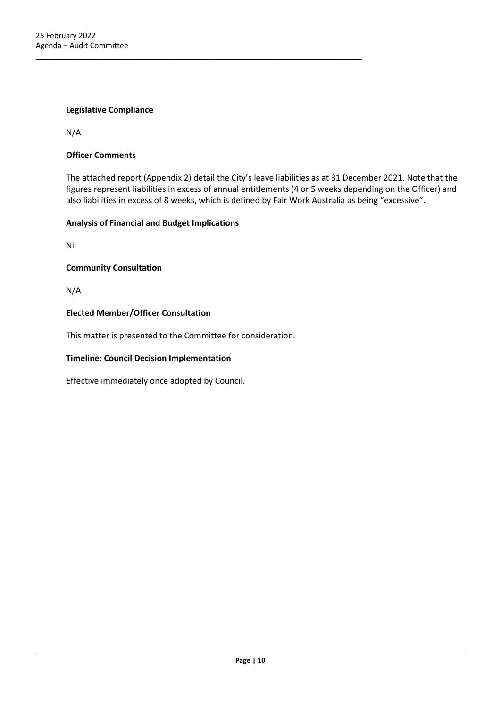#### **Legislative Compliance**

N/A

#### **Officer Comments**

The attached report (Appendix 2) detail the City's leave liabilities as at 31 December 2021. Note that the figures represent liabilities in excess of annual entitlements (4 or 5 weeks depending on the Officer) and also liabilities in excess of 8 weeks, which is defined by Fair Work Australia as being "excessive".

#### **Analysis of Financial and Budget Implications**

Nil

#### **Community Consultation**

N/A

#### **Elected Member/Officer Consultation**

This matter is presented to the Committee for consideration.

\_\_\_\_\_\_\_\_\_\_\_\_\_\_\_\_\_\_\_\_\_\_\_\_\_\_\_\_\_\_\_\_\_\_\_\_\_\_\_\_\_\_\_\_\_\_\_\_\_\_\_\_\_\_\_\_\_\_\_\_\_\_\_\_\_\_\_\_\_\_\_\_\_\_\_\_\_\_

#### **Timeline: Council Decision Implementation**

Effective immediately once adopted by Council.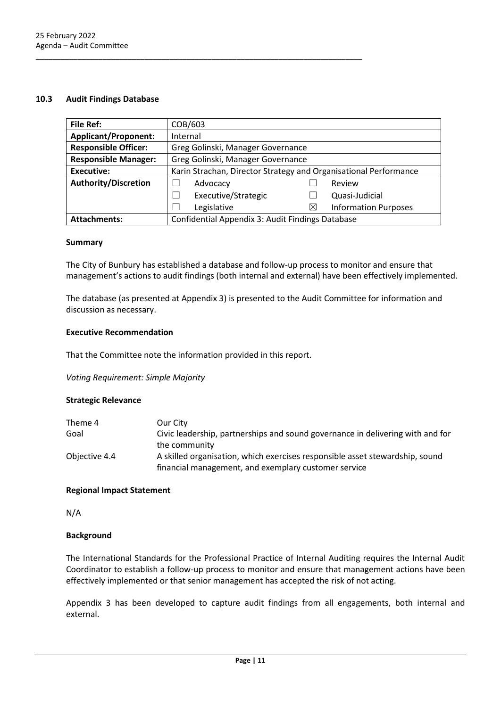#### <span id="page-10-0"></span>**10.3 Audit Findings Database**

| <b>File Ref:</b>            | COB/603                                                          |          |                             |
|-----------------------------|------------------------------------------------------------------|----------|-----------------------------|
| <b>Applicant/Proponent:</b> | Internal                                                         |          |                             |
| <b>Responsible Officer:</b> | Greg Golinski, Manager Governance                                |          |                             |
| <b>Responsible Manager:</b> | Greg Golinski, Manager Governance                                |          |                             |
| <b>Executive:</b>           | Karin Strachan, Director Strategy and Organisational Performance |          |                             |
| <b>Authority/Discretion</b> | Advocacy<br>Review                                               |          |                             |
|                             | Executive/Strategic                                              |          | Quasi-Judicial              |
|                             | Legislative                                                      | $\times$ | <b>Information Purposes</b> |
| <b>Attachments:</b>         | Confidential Appendix 3: Audit Findings Database                 |          |                             |

#### **Summary**

The City of Bunbury has established a database and follow-up process to monitor and ensure that management's actions to audit findings (both internal and external) have been effectively implemented.

The database (as presented at Appendix 3) is presented to the Audit Committee for information and discussion as necessary.

#### **Executive Recommendation**

That the Committee note the information provided in this report.

\_\_\_\_\_\_\_\_\_\_\_\_\_\_\_\_\_\_\_\_\_\_\_\_\_\_\_\_\_\_\_\_\_\_\_\_\_\_\_\_\_\_\_\_\_\_\_\_\_\_\_\_\_\_\_\_\_\_\_\_\_\_\_\_\_\_\_\_\_\_\_\_\_\_\_\_\_\_

*Voting Requirement: Simple Majority*

#### **Strategic Relevance**

| Theme 4       | Our City                                                                       |
|---------------|--------------------------------------------------------------------------------|
| Goal          | Civic leadership, partnerships and sound governance in delivering with and for |
|               | the community                                                                  |
| Objective 4.4 | A skilled organisation, which exercises responsible asset stewardship, sound   |
|               | financial management, and exemplary customer service                           |

#### **Regional Impact Statement**

N/A

#### **Background**

The International Standards for the Professional Practice of Internal Auditing requires the Internal Audit Coordinator to establish a follow-up process to monitor and ensure that management actions have been effectively implemented or that senior management has accepted the risk of not acting.

Appendix 3 has been developed to capture audit findings from all engagements, both internal and external.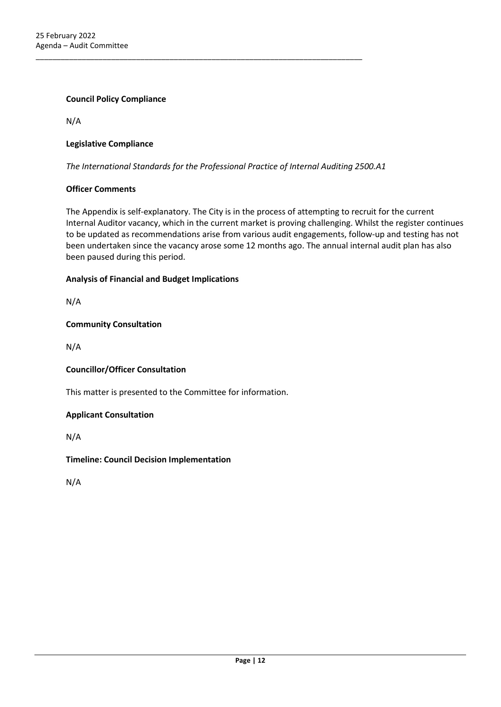#### **Council Policy Compliance**

N/A

#### **Legislative Compliance**

*The International Standards for the Professional Practice of Internal Auditing 2500.A1*

\_\_\_\_\_\_\_\_\_\_\_\_\_\_\_\_\_\_\_\_\_\_\_\_\_\_\_\_\_\_\_\_\_\_\_\_\_\_\_\_\_\_\_\_\_\_\_\_\_\_\_\_\_\_\_\_\_\_\_\_\_\_\_\_\_\_\_\_\_\_\_\_\_\_\_\_\_\_

#### **Officer Comments**

The Appendix is self-explanatory. The City is in the process of attempting to recruit for the current Internal Auditor vacancy, which in the current market is proving challenging. Whilst the register continues to be updated as recommendations arise from various audit engagements, follow-up and testing has not been undertaken since the vacancy arose some 12 months ago. The annual internal audit plan has also been paused during this period.

#### **Analysis of Financial and Budget Implications**

N/A

#### **Community Consultation**

N/A

#### **Councillor/Officer Consultation**

This matter is presented to the Committee for information.

#### **Applicant Consultation**

N/A

#### **Timeline: Council Decision Implementation**

N/A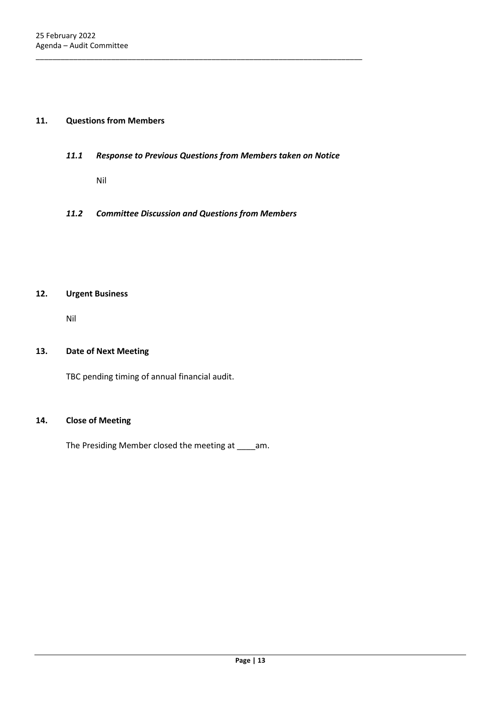#### <span id="page-12-1"></span><span id="page-12-0"></span>**11. Questions from Members**

*11.1 Response to Previous Questions from Members taken on Notice*

\_\_\_\_\_\_\_\_\_\_\_\_\_\_\_\_\_\_\_\_\_\_\_\_\_\_\_\_\_\_\_\_\_\_\_\_\_\_\_\_\_\_\_\_\_\_\_\_\_\_\_\_\_\_\_\_\_\_\_\_\_\_\_\_\_\_\_\_\_\_\_\_\_\_\_\_\_\_

- Nil
- <span id="page-12-2"></span>*11.2 Committee Discussion and Questions from Members*

#### <span id="page-12-3"></span>**12. Urgent Business**

Nil

#### <span id="page-12-4"></span>**13. Date of Next Meeting**

TBC pending timing of annual financial audit.

#### <span id="page-12-5"></span>**14. Close of Meeting**

The Presiding Member closed the meeting at \_\_\_\_am.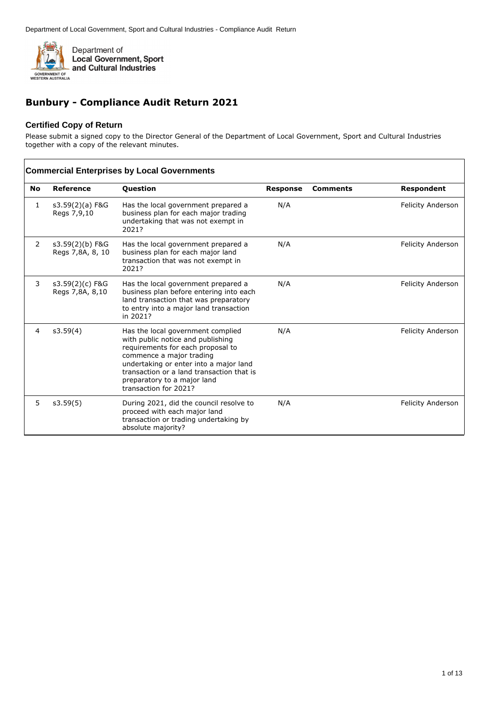

## **Bunbury - Compliance Audit Return 2021**

#### **Certified Copy of Return**

Please submit a signed copy to the Director General of the Department of Local Government, Sport and Cultural Industries together with a copy of the relevant minutes.

|                | <b>Commercial Enterprises by Local Governments</b> |                                                                                                                                                                                                                                                                                        |                 |                 |                          |  |
|----------------|----------------------------------------------------|----------------------------------------------------------------------------------------------------------------------------------------------------------------------------------------------------------------------------------------------------------------------------------------|-----------------|-----------------|--------------------------|--|
| <b>No</b>      | Reference                                          | <b>Question</b>                                                                                                                                                                                                                                                                        | <b>Response</b> | <b>Comments</b> | <b>Respondent</b>        |  |
| 1              | s3.59(2)(a) F&G<br>Regs 7,9,10                     | Has the local government prepared a<br>business plan for each major trading<br>undertaking that was not exempt in<br>2021?                                                                                                                                                             | N/A             |                 | Felicity Anderson        |  |
| 2              | s3.59(2)(b) F&G<br>Regs 7,8A, 8, 10                | Has the local government prepared a<br>business plan for each major land<br>transaction that was not exempt in<br>2021?                                                                                                                                                                | N/A             |                 | <b>Felicity Anderson</b> |  |
| 3              | s3.59(2)(c) F&G<br>Regs 7,8A, 8,10                 | Has the local government prepared a<br>business plan before entering into each<br>land transaction that was preparatory<br>to entry into a major land transaction<br>in 2021?                                                                                                          | N/A             |                 | <b>Felicity Anderson</b> |  |
| $\overline{4}$ | s3.59(4)                                           | Has the local government complied<br>with public notice and publishing<br>requirements for each proposal to<br>commence a major trading<br>undertaking or enter into a major land<br>transaction or a land transaction that is<br>preparatory to a major land<br>transaction for 2021? | N/A             |                 | <b>Felicity Anderson</b> |  |
| 5              | s3.59(5)                                           | During 2021, did the council resolve to<br>proceed with each major land<br>transaction or trading undertaking by<br>absolute majority?                                                                                                                                                 | N/A             |                 | <b>Felicity Anderson</b> |  |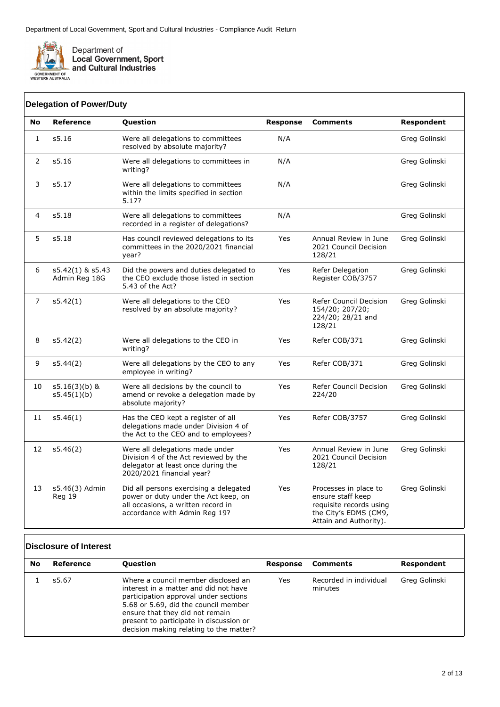

|                | <b>Delegation of Power/Duty</b>   |                                                                                                                                                       |                 |                                                                                                                          |               |
|----------------|-----------------------------------|-------------------------------------------------------------------------------------------------------------------------------------------------------|-----------------|--------------------------------------------------------------------------------------------------------------------------|---------------|
| <b>No</b>      | <b>Reference</b>                  | Question                                                                                                                                              | <b>Response</b> | <b>Comments</b>                                                                                                          | Respondent    |
| $\mathbf{1}$   | s5.16                             | Were all delegations to committees<br>resolved by absolute majority?                                                                                  | N/A             |                                                                                                                          | Greg Golinski |
| $\overline{2}$ | s5.16                             | Were all delegations to committees in<br>writing?                                                                                                     | N/A             |                                                                                                                          | Greg Golinski |
| 3              | s5.17                             | Were all delegations to committees<br>within the limits specified in section<br>5.17?                                                                 | N/A             |                                                                                                                          | Greg Golinski |
| $\overline{4}$ | s5.18                             | Were all delegations to committees<br>recorded in a register of delegations?                                                                          | N/A             |                                                                                                                          | Greg Golinski |
| 5              | s5.18                             | Has council reviewed delegations to its<br>committees in the 2020/2021 financial<br>year?                                                             | Yes             | Annual Review in June<br>2021 Council Decision<br>128/21                                                                 | Greg Golinski |
| 6              | s5.42(1) & s5.43<br>Admin Reg 18G | Did the powers and duties delegated to<br>the CEO exclude those listed in section<br>5.43 of the Act?                                                 | Yes             | Refer Delegation<br>Register COB/3757                                                                                    | Greg Golinski |
| $\overline{7}$ | s5.42(1)                          | Were all delegations to the CEO<br>resolved by an absolute majority?                                                                                  | <b>Yes</b>      | Refer Council Decision<br>154/20; 207/20;<br>224/20; 28/21 and<br>128/21                                                 | Greg Golinski |
| 8              | s5.42(2)                          | Were all delegations to the CEO in<br>writing?                                                                                                        | Yes             | Refer COB/371                                                                                                            | Greg Golinski |
| 9              | s5.44(2)                          | Were all delegations by the CEO to any<br>employee in writing?                                                                                        | Yes             | Refer COB/371                                                                                                            | Greg Golinski |
| 10             | $s5.16(3)(b)$ &<br>s5.45(1)(b)    | Were all decisions by the council to<br>amend or revoke a delegation made by<br>absolute majority?                                                    | Yes             | Refer Council Decision<br>224/20                                                                                         | Greg Golinski |
| 11             | s5.46(1)                          | Has the CEO kept a register of all<br>delegations made under Division 4 of<br>the Act to the CEO and to employees?                                    | Yes             | Refer COB/3757                                                                                                           | Greg Golinski |
| 12             | s5.46(2)                          | Were all delegations made under<br>Division 4 of the Act reviewed by the<br>delegator at least once during the<br>2020/2021 financial year?           | Yes             | Annual Review in June<br>2021 Council Decision<br>128/21                                                                 | Greg Golinski |
| 13             | s5.46(3) Admin<br>Reg 19          | Did all persons exercising a delegated<br>power or duty under the Act keep, on<br>all occasions, a written record in<br>accordance with Admin Reg 19? | Yes             | Processes in place to<br>ensure staff keep<br>requisite records using<br>the City's EDMS (CM9,<br>Attain and Authority). | Greg Golinski |

### **Disclosure of Interest**

| No | Reference | <b>Ouestion</b>                                                                                                                                                                                                                                                                        | Response | Comments                          | Respondent    |
|----|-----------|----------------------------------------------------------------------------------------------------------------------------------------------------------------------------------------------------------------------------------------------------------------------------------------|----------|-----------------------------------|---------------|
|    | s5.67     | Where a council member disclosed an<br>interest in a matter and did not have<br>participation approval under sections<br>5.68 or 5.69, did the council member<br>ensure that they did not remain<br>present to participate in discussion or<br>decision making relating to the matter? | Yes      | Recorded in individual<br>minutes | Greg Golinski |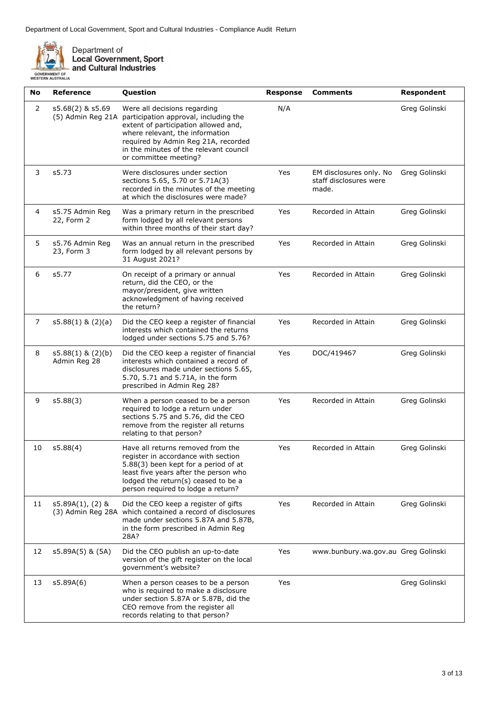

| No             | <b>Reference</b>                      | Question                                                                                                                                                                                                                                                   | <b>Response</b> | <b>Comments</b>                                            | <b>Respondent</b> |
|----------------|---------------------------------------|------------------------------------------------------------------------------------------------------------------------------------------------------------------------------------------------------------------------------------------------------------|-----------------|------------------------------------------------------------|-------------------|
| 2              | s5.68(2) & s5.69<br>(5) Admin Reg 21A | Were all decisions regarding<br>participation approval, including the<br>extent of participation allowed and,<br>where relevant, the information<br>required by Admin Reg 21A, recorded<br>in the minutes of the relevant council<br>or committee meeting? | N/A             |                                                            | Greg Golinski     |
| 3              | s5.73                                 | Were disclosures under section<br>sections 5.65, 5.70 or 5.71A(3)<br>recorded in the minutes of the meeting<br>at which the disclosures were made?                                                                                                         | Yes             | EM disclosures only. No<br>staff disclosures were<br>made. | Greg Golinski     |
| 4              | s5.75 Admin Reg<br>22, Form 2         | Was a primary return in the prescribed<br>form lodged by all relevant persons<br>within three months of their start day?                                                                                                                                   | Yes             | Recorded in Attain                                         | Greg Golinski     |
| 5              | s5.76 Admin Reg<br>23, Form 3         | Was an annual return in the prescribed<br>form lodged by all relevant persons by<br>31 August 2021?                                                                                                                                                        | Yes             | Recorded in Attain                                         | Greg Golinski     |
| 6              | s5.77                                 | On receipt of a primary or annual<br>return, did the CEO, or the<br>mayor/president, give written<br>acknowledgment of having received<br>the return?                                                                                                      | Yes             | Recorded in Attain                                         | Greg Golinski     |
| $\overline{7}$ | $s5.88(1)$ & $(2)(a)$                 | Did the CEO keep a register of financial<br>interests which contained the returns<br>lodged under sections 5.75 and 5.76?                                                                                                                                  | Yes             | Recorded in Attain                                         | Greg Golinski     |
| 8              | $s5.88(1)$ & $(2)(b)$<br>Admin Reg 28 | Did the CEO keep a register of financial<br>interests which contained a record of<br>disclosures made under sections 5.65,<br>5.70, 5.71 and 5.71A, in the form<br>prescribed in Admin Reg 28?                                                             | Yes             | DOC/419467                                                 | Greg Golinski     |
| 9              | s5.88(3)                              | When a person ceased to be a person<br>required to lodge a return under<br>sections 5.75 and 5.76, did the CEO<br>remove from the register all returns<br>relating to that person?                                                                         | Yes             | Recorded in Attain                                         | Greg Golinski     |
| 10             | s5.88(4)                              | Have all returns removed from the<br>register in accordance with section<br>5.88(3) been kept for a period of at<br>least five years after the person who<br>lodged the return(s) ceased to be a<br>person required to lodge a return?                     | Yes             | Recorded in Attain                                         | Greg Golinski     |
| 11             | s5.89A(1), (2) &                      | Did the CEO keep a register of gifts<br>(3) Admin Reg 28A which contained a record of disclosures<br>made under sections 5.87A and 5.87B,<br>in the form prescribed in Admin Reg<br>28A?                                                                   | Yes             | Recorded in Attain                                         | Greg Golinski     |
| 12             | s5.89A(5) & (5A)                      | Did the CEO publish an up-to-date<br>version of the gift register on the local<br>government's website?                                                                                                                                                    | Yes             | www.bunbury.wa.gov.au Greg Golinski                        |                   |
| 13             | s5.89A(6)                             | When a person ceases to be a person<br>who is required to make a disclosure<br>under section 5.87A or 5.87B, did the<br>CEO remove from the register all<br>records relating to that person?                                                               | Yes             |                                                            | Greg Golinski     |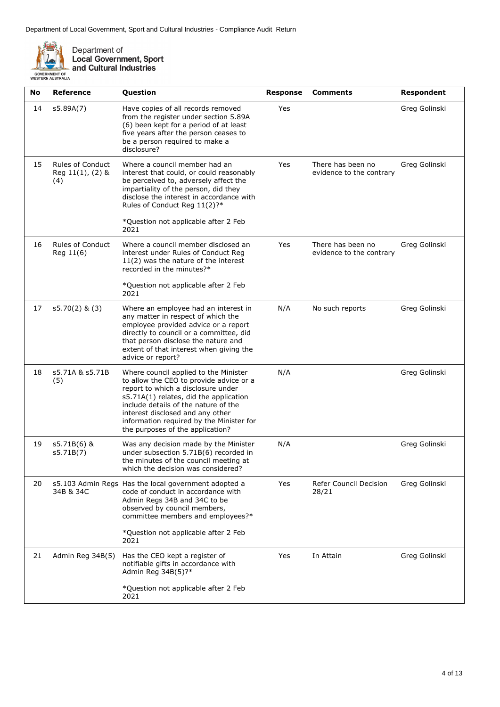

| No | Reference                                               | Question                                                                                                                                                                                                                                                                                                                     | <b>Response</b> | <b>Comments</b>                               | <b>Respondent</b> |
|----|---------------------------------------------------------|------------------------------------------------------------------------------------------------------------------------------------------------------------------------------------------------------------------------------------------------------------------------------------------------------------------------------|-----------------|-----------------------------------------------|-------------------|
| 14 | s5.89A(7)                                               | Have copies of all records removed<br>from the register under section 5.89A<br>(6) been kept for a period of at least<br>five years after the person ceases to<br>be a person required to make a<br>disclosure?                                                                                                              | Yes             |                                               | Greg Golinski     |
| 15 | <b>Rules of Conduct</b><br>Reg $11(1)$ , $(2)$ &<br>(4) | Where a council member had an<br>interest that could, or could reasonably<br>be perceived to, adversely affect the<br>impartiality of the person, did they<br>disclose the interest in accordance with<br>Rules of Conduct Reg 11(2)?*<br>*Question not applicable after 2 Feb<br>2021                                       | Yes             | There has been no<br>evidence to the contrary | Greg Golinski     |
| 16 | <b>Rules of Conduct</b><br>Reg 11(6)                    | Where a council member disclosed an<br>interest under Rules of Conduct Reg<br>$11(2)$ was the nature of the interest<br>recorded in the minutes?*<br>*Question not applicable after 2 Feb<br>2021                                                                                                                            | Yes             | There has been no<br>evidence to the contrary | Greg Golinski     |
| 17 | $s5.70(2)$ & $(3)$                                      | Where an employee had an interest in<br>any matter in respect of which the<br>employee provided advice or a report<br>directly to council or a committee, did<br>that person disclose the nature and<br>extent of that interest when giving the<br>advice or report?                                                         | N/A             | No such reports                               | Greg Golinski     |
| 18 | s5.71A & s5.71B<br>(5)                                  | Where council applied to the Minister<br>to allow the CEO to provide advice or a<br>report to which a disclosure under<br>s5.71A(1) relates, did the application<br>include details of the nature of the<br>interest disclosed and any other<br>information required by the Minister for<br>the purposes of the application? | N/A             |                                               | Greg Golinski     |
| 19 | s5.71B(6) &<br>s5.71B(7)                                | Was any decision made by the Minister<br>under subsection 5.71B(6) recorded in<br>the minutes of the council meeting at<br>which the decision was considered?                                                                                                                                                                | N/A             |                                               | Greg Golinski     |
| 20 | 34B & 34C                                               | s5.103 Admin Regs Has the local government adopted a<br>code of conduct in accordance with<br>Admin Regs 34B and 34C to be<br>observed by council members,<br>committee members and employees?*<br>*Question not applicable after 2 Feb<br>2021                                                                              | Yes             | Refer Council Decision<br>28/21               | Greg Golinski     |
| 21 | Admin Reg 34B(5)                                        | Has the CEO kept a register of<br>notifiable gifts in accordance with<br>Admin Reg 34B(5)?*<br>*Question not applicable after 2 Feb                                                                                                                                                                                          | Yes             | In Attain                                     | Greg Golinski     |
|    |                                                         | 2021                                                                                                                                                                                                                                                                                                                         |                 |                                               |                   |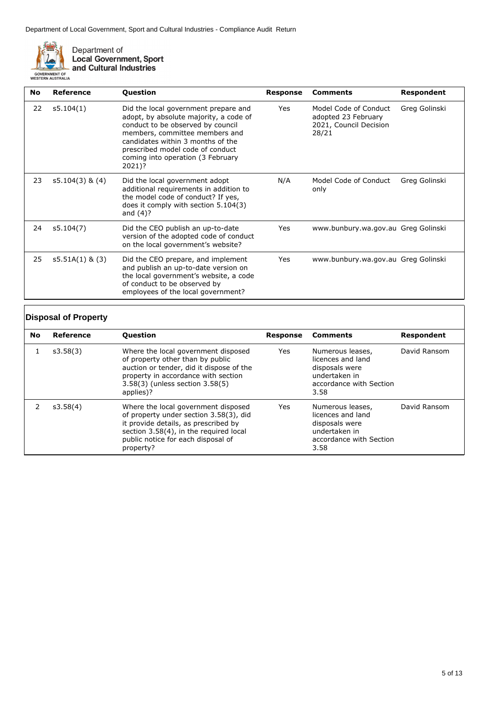

Department of<br>Local Government, Sport<br>and Cultural Industries

| <b>No</b> | Reference         | <b>Question</b>                                                                                                                                                                                                                                                               | <b>Response</b> | <b>Comments</b>                                                                 | <b>Respondent</b> |
|-----------|-------------------|-------------------------------------------------------------------------------------------------------------------------------------------------------------------------------------------------------------------------------------------------------------------------------|-----------------|---------------------------------------------------------------------------------|-------------------|
| 22        | s5.104(1)         | Did the local government prepare and<br>adopt, by absolute majority, a code of<br>conduct to be observed by council<br>members, committee members and<br>candidates within 3 months of the<br>prescribed model code of conduct<br>coming into operation (3 February<br>2021)? | Yes             | Model Code of Conduct<br>adopted 23 February<br>2021, Council Decision<br>28/21 | Greg Golinski     |
| 23        | $s5.104(3)$ & (4) | Did the local government adopt<br>additional requirements in addition to<br>the model code of conduct? If yes,<br>does it comply with section 5.104(3)<br>and $(4)$ ?                                                                                                         | N/A             | Model Code of Conduct<br>only                                                   | Greg Golinski     |
| 24        | s5.104(7)         | Did the CEO publish an up-to-date<br>version of the adopted code of conduct<br>on the local government's website?                                                                                                                                                             | Yes             | www.bunbury.wa.gov.au Greg Golinski                                             |                   |
| 25        | $s5.51A(1)$ & (3) | Did the CEO prepare, and implement<br>and publish an up-to-date version on<br>the local government's website, a code<br>of conduct to be observed by<br>employees of the local government?                                                                                    | Yes             | www.bunbury.wa.gov.au Greg Golinski                                             |                   |

### **Disposal of Property**

| <b>No</b> | Reference | <b>Question</b>                                                                                                                                                                                                    | Response | <b>Comments</b>                                                                                             | Respondent   |
|-----------|-----------|--------------------------------------------------------------------------------------------------------------------------------------------------------------------------------------------------------------------|----------|-------------------------------------------------------------------------------------------------------------|--------------|
|           | s3.58(3)  | Where the local government disposed<br>of property other than by public<br>auction or tender, did it dispose of the<br>property in accordance with section<br>3.58(3) (unless section 3.58(5)<br>applies)?         | Yes      | Numerous leases,<br>licences and land<br>disposals were<br>undertaken in<br>accordance with Section<br>3.58 | David Ransom |
|           | s3.58(4)  | Where the local government disposed<br>of property under section 3.58(3), did<br>it provide details, as prescribed by<br>section 3.58(4), in the required local<br>public notice for each disposal of<br>property? | Yes      | Numerous leases,<br>licences and land<br>disposals were<br>undertaken in<br>accordance with Section<br>3.58 | David Ransom |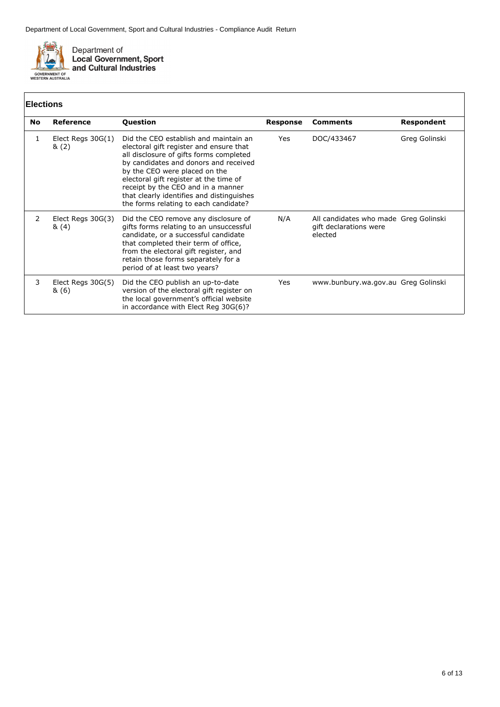

## **Elections**

|           | <b>Elections</b>             |                                                                                                                                                                                                                                                                                                                                                                             |                 |                                                                            |               |  |
|-----------|------------------------------|-----------------------------------------------------------------------------------------------------------------------------------------------------------------------------------------------------------------------------------------------------------------------------------------------------------------------------------------------------------------------------|-----------------|----------------------------------------------------------------------------|---------------|--|
| <b>No</b> | Reference                    | <b>Question</b>                                                                                                                                                                                                                                                                                                                                                             | <b>Response</b> | <b>Comments</b>                                                            | Respondent    |  |
| 1         | Elect Regs $30G(1)$<br>&(2)  | Did the CEO establish and maintain an<br>electoral gift register and ensure that<br>all disclosure of gifts forms completed<br>by candidates and donors and received<br>by the CEO were placed on the<br>electoral gift register at the time of<br>receipt by the CEO and in a manner<br>that clearly identifies and distinguishes<br>the forms relating to each candidate? | Yes             | DOC/433467                                                                 | Greg Golinski |  |
| 2         | Elect Regs $30G(3)$<br>&(4)  | Did the CEO remove any disclosure of<br>gifts forms relating to an unsuccessful<br>candidate, or a successful candidate<br>that completed their term of office,<br>from the electoral gift register, and<br>retain those forms separately for a<br>period of at least two years?                                                                                            | N/A             | All candidates who made Greg Golinski<br>gift declarations were<br>elected |               |  |
| 3         | Elect Regs $30G(5)$<br>& (6) | Did the CEO publish an up-to-date<br>version of the electoral gift register on<br>the local government's official website<br>in accordance with Elect Reg 30G(6)?                                                                                                                                                                                                           | Yes             | www.bunbury.wa.gov.au Greg Golinski                                        |               |  |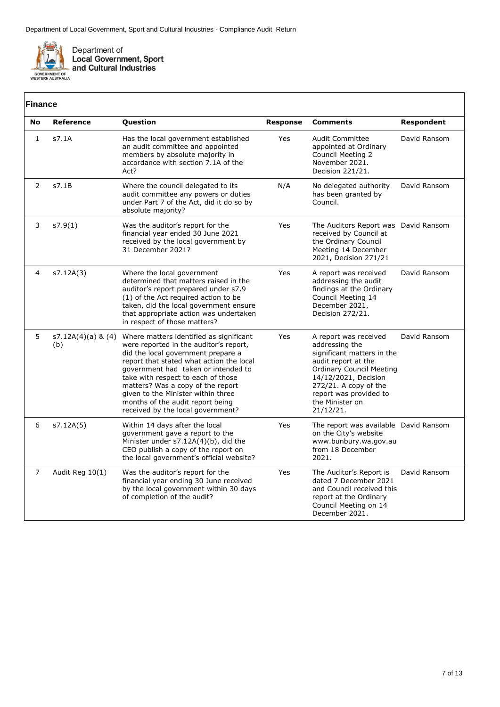

## **Finance**

| ΓΠΙαποθ      |                           |                                                                                                                                                                                                                                                                                                                                                                                                      |                 |                                                                                                                                                                                                                                            |              |
|--------------|---------------------------|------------------------------------------------------------------------------------------------------------------------------------------------------------------------------------------------------------------------------------------------------------------------------------------------------------------------------------------------------------------------------------------------------|-----------------|--------------------------------------------------------------------------------------------------------------------------------------------------------------------------------------------------------------------------------------------|--------------|
| No           | <b>Reference</b>          | Question                                                                                                                                                                                                                                                                                                                                                                                             | <b>Response</b> | <b>Comments</b>                                                                                                                                                                                                                            | Respondent   |
| $\mathbf{1}$ | s7.1A                     | Has the local government established<br>an audit committee and appointed<br>members by absolute majority in<br>accordance with section 7.1A of the<br>Act?                                                                                                                                                                                                                                           | Yes             | <b>Audit Committee</b><br>appointed at Ordinary<br>Council Meeting 2<br>November 2021.<br>Decision 221/21.                                                                                                                                 | David Ransom |
| 2            | s7.1B                     | Where the council delegated to its<br>audit committee any powers or duties<br>under Part 7 of the Act, did it do so by<br>absolute majority?                                                                                                                                                                                                                                                         | N/A             | No delegated authority<br>has been granted by<br>Council.                                                                                                                                                                                  | David Ransom |
| 3            | s7.9(1)                   | Was the auditor's report for the<br>financial year ended 30 June 2021<br>received by the local government by<br>31 December 2021?                                                                                                                                                                                                                                                                    | Yes             | The Auditors Report was David Ransom<br>received by Council at<br>the Ordinary Council<br>Meeting 14 December<br>2021, Decision 271/21                                                                                                     |              |
| 4            | s7.12A(3)                 | Where the local government<br>determined that matters raised in the<br>auditor's report prepared under s7.9<br>(1) of the Act required action to be<br>taken, did the local government ensure<br>that appropriate action was undertaken<br>in respect of those matters?                                                                                                                              | Yes             | A report was received<br>addressing the audit<br>findings at the Ordinary<br>Council Meeting 14<br>December 2021,<br>Decision 272/21.                                                                                                      | David Ransom |
| 5            | s7.12A(4)(a) & (4)<br>(b) | Where matters identified as significant<br>were reported in the auditor's report,<br>did the local government prepare a<br>report that stated what action the local<br>government had taken or intended to<br>take with respect to each of those<br>matters? Was a copy of the report<br>given to the Minister within three<br>months of the audit report being<br>received by the local government? | Yes             | A report was received<br>addressing the<br>significant matters in the<br>audit report at the<br><b>Ordinary Council Meeting</b><br>14/12/2021, Decision<br>272/21. A copy of the<br>report was provided to<br>the Minister on<br>21/12/21. | David Ransom |
| 6            | s7.12A(5)                 | Within 14 days after the local<br>government gave a report to the<br>Minister under s7.12A(4)(b), did the<br>CEO publish a copy of the report on<br>the local government's official website?                                                                                                                                                                                                         | Yes             | The report was available David Ransom<br>on the City's website<br>www.bunbury.wa.gov.au<br>from 18 December<br>2021.                                                                                                                       |              |
| 7            | Audit Reg 10(1)           | Was the auditor's report for the<br>financial year ending 30 June received<br>by the local government within 30 days<br>of completion of the audit?                                                                                                                                                                                                                                                  | Yes             | The Auditor's Report is<br>dated 7 December 2021<br>and Council received this<br>report at the Ordinary<br>Council Meeting on 14<br>December 2021.                                                                                         | David Ransom |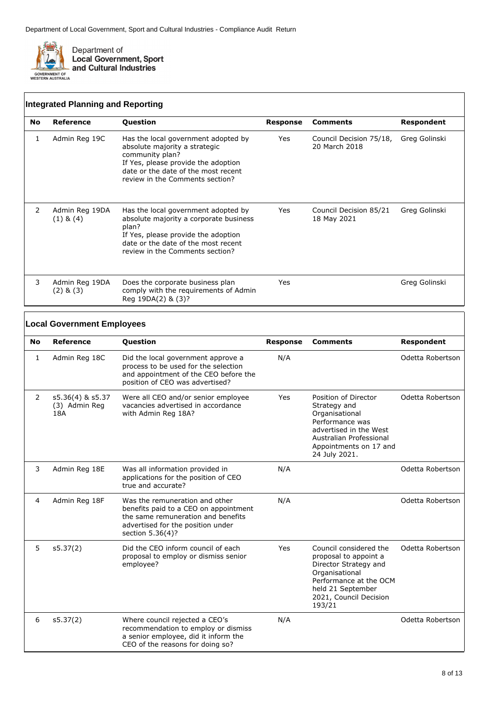

**Local Government Employees**

|           | <b>Integrated Planning and Reporting</b> |                                                                                                                                                                                                          |          |                                          |               |  |  |  |
|-----------|------------------------------------------|----------------------------------------------------------------------------------------------------------------------------------------------------------------------------------------------------------|----------|------------------------------------------|---------------|--|--|--|
| <b>No</b> | Reference                                | <b>Question</b>                                                                                                                                                                                          | Response | <b>Comments</b>                          | Respondent    |  |  |  |
| 1         | Admin Reg 19C                            | Has the local government adopted by<br>absolute majority a strategic<br>community plan?<br>If Yes, please provide the adoption<br>date or the date of the most recent<br>review in the Comments section? | Yes      | Council Decision 75/18,<br>20 March 2018 | Greg Golinski |  |  |  |
| 2         | Admin Reg 19DA<br>$(1)$ & $(4)$          | Has the local government adopted by<br>absolute majority a corporate business<br>plan?<br>If Yes, please provide the adoption<br>date or the date of the most recent<br>review in the Comments section?  | Yes      | Council Decision 85/21<br>18 May 2021    | Greg Golinski |  |  |  |
| 3         | Admin Reg 19DA<br>$(2)$ & $(3)$          | Does the corporate business plan<br>comply with the requirements of Admin<br>Reg 19DA(2) & (3)?                                                                                                          | Yes      |                                          | Greg Golinski |  |  |  |

#### **No Reference Question Response Comments Respondent** 1 Admin Reg 18C Did the local government approve a process to be used for the selection and appointment of the CEO before the position of CEO was advertised? N/A Odetta Robertson 2 s5.36(4) & s5.37 (3) Admin Reg 18A Were all CEO and/or senior employee vacancies advertised in accordance with Admin Reg 18A? Yes Position of Director

|   |               |                                                                                                                                                                        |     | Performance was<br>advertised in the West<br>Australian Professional<br>Appointments on 17 and<br>24 July 2021.                                                               |                  |
|---|---------------|------------------------------------------------------------------------------------------------------------------------------------------------------------------------|-----|-------------------------------------------------------------------------------------------------------------------------------------------------------------------------------|------------------|
| 3 | Admin Reg 18E | Was all information provided in<br>applications for the position of CEO<br>true and accurate?                                                                          | N/A |                                                                                                                                                                               | Odetta Robertson |
| 4 | Admin Reg 18F | Was the remuneration and other<br>benefits paid to a CEO on appointment<br>the same remuneration and benefits<br>advertised for the position under<br>section 5.36(4)? | N/A |                                                                                                                                                                               | Odetta Robertson |
| 5 | s5.37(2)      | Did the CEO inform council of each<br>proposal to employ or dismiss senior<br>employee?                                                                                | Yes | Council considered the<br>proposal to appoint a<br>Director Strategy and<br>Organisational<br>Performance at the OCM<br>held 21 September<br>2021, Council Decision<br>193/21 | Odetta Robertson |
| 6 | s5.37(2)      | Where council rejected a CEO's<br>recommendation to employ or dismiss<br>a senior employee, did it inform the<br>CEO of the reasons for doing so?                      | N/A |                                                                                                                                                                               | Odetta Robertson |

Strategy and Organisational Odetta Robertson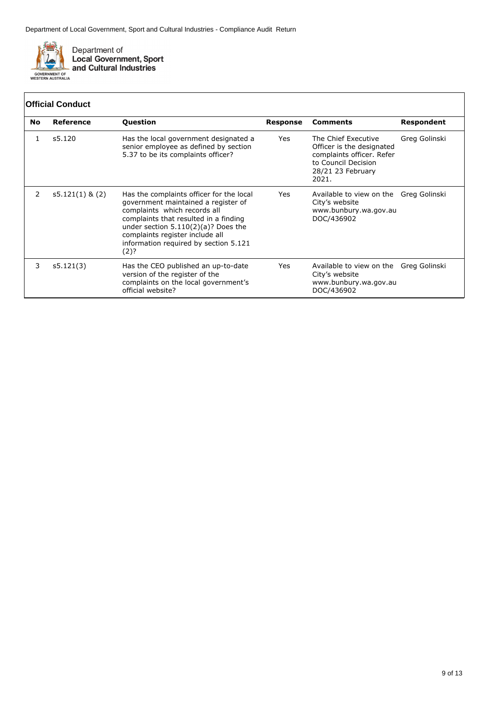

|    | <b>Official Conduct</b> |                                                                                                                                                                                                                                                                                       |                 |                                                                                                                                    |               |  |  |
|----|-------------------------|---------------------------------------------------------------------------------------------------------------------------------------------------------------------------------------------------------------------------------------------------------------------------------------|-----------------|------------------------------------------------------------------------------------------------------------------------------------|---------------|--|--|
| No | Reference               | Question                                                                                                                                                                                                                                                                              | <b>Response</b> | <b>Comments</b>                                                                                                                    | Respondent    |  |  |
| 1  | s5.120                  | Has the local government designated a<br>senior employee as defined by section<br>5.37 to be its complaints officer?                                                                                                                                                                  | Yes             | The Chief Executive<br>Officer is the designated<br>complaints officer. Refer<br>to Council Decision<br>28/21 23 February<br>2021. | Greg Golinski |  |  |
| 2  | $s5.121(1)$ & (2)       | Has the complaints officer for the local<br>government maintained a register of<br>complaints which records all<br>complaints that resulted in a finding<br>under section $5.110(2)(a)?$ Does the<br>complaints register include all<br>information required by section 5.121<br>(2)? | Yes             | Available to view on the Greg Golinski<br>City's website<br>www.bunbury.wa.gov.au<br>DOC/436902                                    |               |  |  |
| 3  | s5.121(3)               | Has the CEO published an up-to-date<br>version of the register of the<br>complaints on the local government's<br>official website?                                                                                                                                                    | Yes             | Available to view on the Greg Golinski<br>City's website<br>www.bunbury.wa.gov.au<br>DOC/436902                                    |               |  |  |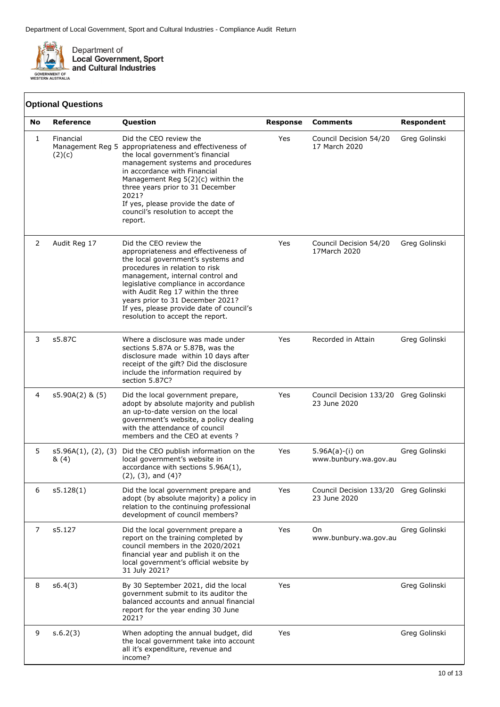

|    | <b>Optional Questions</b>   |                                                                                                                                                                                                                                                                                                                                                                              |                 |                                                       |                   |
|----|-----------------------------|------------------------------------------------------------------------------------------------------------------------------------------------------------------------------------------------------------------------------------------------------------------------------------------------------------------------------------------------------------------------------|-----------------|-------------------------------------------------------|-------------------|
| No | <b>Reference</b>            | Question                                                                                                                                                                                                                                                                                                                                                                     | <b>Response</b> | <b>Comments</b>                                       | <b>Respondent</b> |
| 1  | Financial<br>(2)(c)         | Did the CEO review the<br>Management Reg 5 appropriateness and effectiveness of<br>the local government's financial<br>management systems and procedures<br>in accordance with Financial<br>Management Reg $5(2)(c)$ within the<br>three years prior to 31 December<br>2021?<br>If yes, please provide the date of<br>council's resolution to accept the<br>report.          | Yes             | Council Decision 54/20<br>17 March 2020               | Greg Golinski     |
| 2  | Audit Reg 17                | Did the CEO review the<br>appropriateness and effectiveness of<br>the local government's systems and<br>procedures in relation to risk<br>management, internal control and<br>legislative compliance in accordance<br>with Audit Reg 17 within the three<br>years prior to 31 December 2021?<br>If yes, please provide date of council's<br>resolution to accept the report. | Yes             | Council Decision 54/20<br>17March 2020                | Greg Golinski     |
| 3  | s5.87C                      | Where a disclosure was made under<br>sections 5.87A or 5.87B, was the<br>disclosure made within 10 days after<br>receipt of the gift? Did the disclosure<br>include the information required by<br>section 5.87C?                                                                                                                                                            | Yes             | Recorded in Attain                                    | Greg Golinski     |
| 4  | $s5.90A(2)$ & $(5)$         | Did the local government prepare,<br>adopt by absolute majority and publish<br>an up-to-date version on the local<br>government's website, a policy dealing<br>with the attendance of council<br>members and the CEO at events?                                                                                                                                              | Yes             | Council Decision 133/20 Greg Golinski<br>23 June 2020 |                   |
| 5  | s5.96A(1), (2), (3)<br>&(4) | Did the CEO publish information on the<br>local government's website in<br>accordance with sections 5.96A(1),<br>$(2)$ , $(3)$ , and $(4)$ ?                                                                                                                                                                                                                                 | Yes             | $5.96A(a)-(i)$ on<br>www.bunbury.wa.gov.au            | Greg Golinski     |
| 6  | s5.128(1)                   | Did the local government prepare and<br>adopt (by absolute majority) a policy in<br>relation to the continuing professional<br>development of council members?                                                                                                                                                                                                               | Yes             | Council Decision 133/20 Greg Golinski<br>23 June 2020 |                   |
| 7  | s5.127                      | Did the local government prepare a<br>report on the training completed by<br>council members in the 2020/2021<br>financial year and publish it on the<br>local government's official website by<br>31 July 2021?                                                                                                                                                             | Yes             | On<br>www.bunbury.wa.gov.au                           | Greg Golinski     |
| 8  | s6.4(3)                     | By 30 September 2021, did the local<br>government submit to its auditor the<br>balanced accounts and annual financial<br>report for the year ending 30 June<br>2021?                                                                                                                                                                                                         | Yes             |                                                       | Greg Golinski     |
| 9  | s.6.2(3)                    | When adopting the annual budget, did<br>the local government take into account<br>all it's expenditure, revenue and<br>income?                                                                                                                                                                                                                                               | Yes             |                                                       | Greg Golinski     |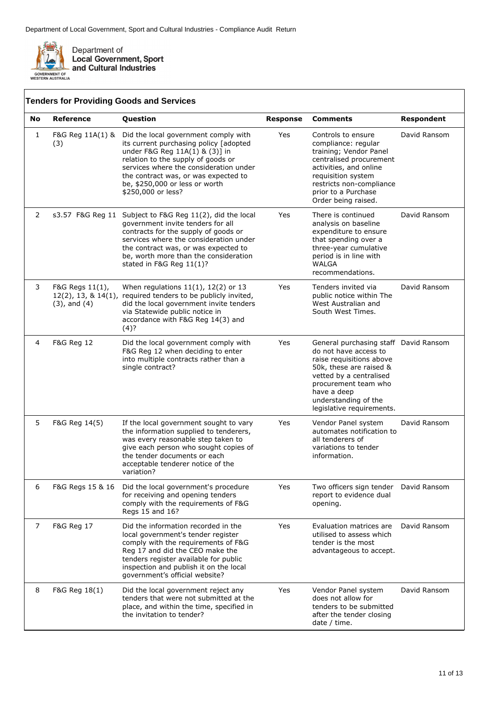

|    |                                                                   | <b>Tenders for Providing Goods and Services</b>                                                                                                                                                                                                                                                  |                 |                                                                                                                                                                                                                                              |                   |
|----|-------------------------------------------------------------------|--------------------------------------------------------------------------------------------------------------------------------------------------------------------------------------------------------------------------------------------------------------------------------------------------|-----------------|----------------------------------------------------------------------------------------------------------------------------------------------------------------------------------------------------------------------------------------------|-------------------|
| No | Reference                                                         | Question                                                                                                                                                                                                                                                                                         | <b>Response</b> | <b>Comments</b>                                                                                                                                                                                                                              | <b>Respondent</b> |
| 1  | F&G Reg 11A(1) &<br>(3)                                           | Did the local government comply with<br>its current purchasing policy [adopted<br>under F&G Reg 11A(1) & (3)] in<br>relation to the supply of goods or<br>services where the consideration under<br>the contract was, or was expected to<br>be, \$250,000 or less or worth<br>\$250,000 or less? | Yes             | Controls to ensure<br>compliance: regular<br>training; Vendor Panel<br>centralised procurement<br>activities, and online<br>requisition system<br>restricts non-compliance<br>prior to a Purchase<br>Order being raised.                     | David Ransom      |
| 2  |                                                                   | s3.57 F&G Reg 11 Subject to F&G Reg 11(2), did the local<br>government invite tenders for all<br>contracts for the supply of goods or<br>services where the consideration under<br>the contract was, or was expected to<br>be, worth more than the consideration<br>stated in F&G Reg 11(1)?     | Yes             | There is continued<br>analysis on baseline<br>expenditure to ensure<br>that spending over a<br>three-year cumulative<br>period is in line with<br><b>WALGA</b><br>recommendations.                                                           | David Ransom      |
| 3  | F&G Regs 11(1),<br>$12(2)$ , 13, & $14(1)$ ,<br>$(3)$ , and $(4)$ | When regulations $11(1)$ , $12(2)$ or 13<br>required tenders to be publicly invited,<br>did the local government invite tenders<br>via Statewide public notice in<br>accordance with F&G Reg 14(3) and<br>(4)?                                                                                   | Yes             | Tenders invited via<br>public notice within The<br>West Australian and<br>South West Times.                                                                                                                                                  | David Ransom      |
| 4  | <b>F&amp;G Reg 12</b>                                             | Did the local government comply with<br>F&G Reg 12 when deciding to enter<br>into multiple contracts rather than a<br>single contract?                                                                                                                                                           | Yes             | General purchasing staff David Ransom<br>do not have access to<br>raise requisitions above<br>50k, these are raised &<br>vetted by a centralised<br>procurement team who<br>have a deep<br>understanding of the<br>legislative requirements. |                   |
| 5  | F&G Reg 14(5)                                                     | If the local government sought to vary<br>the information supplied to tenderers,<br>was every reasonable step taken to<br>give each person who sought copies of<br>the tender documents or each<br>acceptable tenderer notice of the<br>variation?                                               | Yes             | Vendor Panel system<br>automates notification to<br>all tenderers of<br>variations to tender<br>information.                                                                                                                                 | David Ransom      |
| 6  | F&G Regs 15 & 16                                                  | Did the local government's procedure<br>for receiving and opening tenders<br>comply with the requirements of F&G<br>Regs 15 and 16?                                                                                                                                                              | Yes             | Two officers sign tender<br>report to evidence dual<br>opening.                                                                                                                                                                              | David Ransom      |
| 7  | F&G Reg 17                                                        | Did the information recorded in the<br>local government's tender register<br>comply with the requirements of F&G<br>Reg 17 and did the CEO make the<br>tenders register available for public<br>inspection and publish it on the local<br>government's official website?                         | Yes             | Evaluation matrices are<br>utilised to assess which<br>tender is the most<br>advantageous to accept.                                                                                                                                         | David Ransom      |
| 8  | F&G Reg 18(1)                                                     | Did the local government reject any<br>tenders that were not submitted at the<br>place, and within the time, specified in<br>the invitation to tender?                                                                                                                                           | Yes             | Vendor Panel system<br>does not allow for<br>tenders to be submitted<br>after the tender closing<br>date / time.                                                                                                                             | David Ransom      |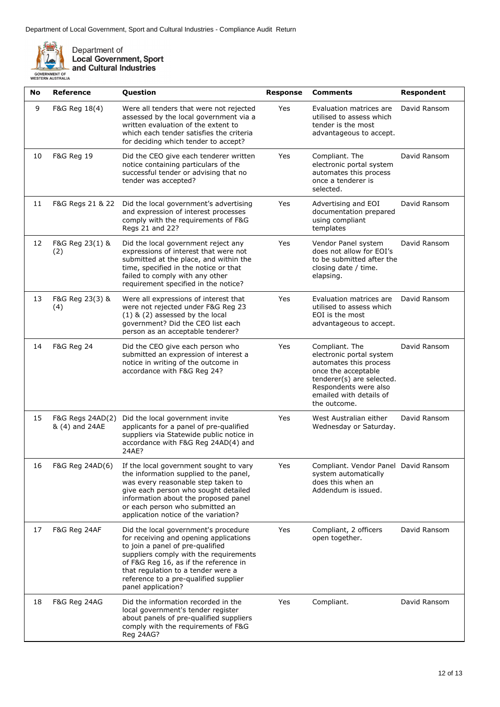

| No | <b>Reference</b>                   | Question                                                                                                                                                                                                                                                                                                   | <b>Response</b> | <b>Comments</b>                                                                                                                                                                              | <b>Respondent</b> |
|----|------------------------------------|------------------------------------------------------------------------------------------------------------------------------------------------------------------------------------------------------------------------------------------------------------------------------------------------------------|-----------------|----------------------------------------------------------------------------------------------------------------------------------------------------------------------------------------------|-------------------|
| 9  | F&G Reg 18(4)                      | Were all tenders that were not rejected<br>assessed by the local government via a<br>written evaluation of the extent to<br>which each tender satisfies the criteria<br>for deciding which tender to accept?                                                                                               | Yes             | Evaluation matrices are<br>utilised to assess which<br>tender is the most<br>advantageous to accept.                                                                                         | David Ransom      |
| 10 | F&G Reg 19                         | Did the CEO give each tenderer written<br>notice containing particulars of the<br>successful tender or advising that no<br>tender was accepted?                                                                                                                                                            | Yes             | Compliant. The<br>electronic portal system<br>automates this process<br>once a tenderer is<br>selected.                                                                                      | David Ransom      |
| 11 | F&G Regs 21 & 22                   | Did the local government's advertising<br>and expression of interest processes<br>comply with the requirements of F&G<br>Regs 21 and 22?                                                                                                                                                                   | Yes             | Advertising and EOI<br>documentation prepared<br>using compliant<br>templates                                                                                                                | David Ransom      |
| 12 | F&G Reg 23(1) &<br>(2)             | Did the local government reject any<br>expressions of interest that were not<br>submitted at the place, and within the<br>time, specified in the notice or that<br>failed to comply with any other<br>requirement specified in the notice?                                                                 | Yes             | Vendor Panel system<br>does not allow for EOI's<br>to be submitted after the<br>closing date / time.<br>elapsing.                                                                            | David Ransom      |
| 13 | F&G Reg 23(3) &<br>(4)             | Were all expressions of interest that<br>were not rejected under F&G Reg 23<br>$(1)$ & $(2)$ assessed by the local<br>government? Did the CEO list each<br>person as an acceptable tenderer?                                                                                                               | Yes             | Evaluation matrices are<br>utilised to assess which<br>EOI is the most<br>advantageous to accept.                                                                                            | David Ransom      |
| 14 | F&G Reg 24                         | Did the CEO give each person who<br>submitted an expression of interest a<br>notice in writing of the outcome in<br>accordance with F&G Reg 24?                                                                                                                                                            | Yes             | Compliant. The<br>electronic portal system<br>automates this process<br>once the acceptable<br>tenderer(s) are selected.<br>Respondents were also<br>emailed with details of<br>the outcome. | David Ransom      |
| 15 | F&G Regs 24AD(2)<br>& (4) and 24AE | Did the local government invite<br>applicants for a panel of pre-qualified<br>suppliers via Statewide public notice in<br>accordance with F&G Reg 24AD(4) and<br>24AE?                                                                                                                                     | Yes             | West Australian either<br>Wednesday or Saturday.                                                                                                                                             | David Ransom      |
| 16 | F&G Reg 24AD(6)                    | If the local government sought to vary<br>the information supplied to the panel,<br>was every reasonable step taken to<br>give each person who sought detailed<br>information about the proposed panel<br>or each person who submitted an<br>application notice of the variation?                          | Yes             | Compliant. Vendor Panel David Ransom<br>system automatically<br>does this when an<br>Addendum is issued.                                                                                     |                   |
| 17 | F&G Reg 24AF                       | Did the local government's procedure<br>for receiving and opening applications<br>to join a panel of pre-qualified<br>suppliers comply with the requirements<br>of F&G Reg 16, as if the reference in<br>that regulation to a tender were a<br>reference to a pre-qualified supplier<br>panel application? | Yes             | Compliant, 2 officers<br>open together.                                                                                                                                                      | David Ransom      |
| 18 | F&G Reg 24AG                       | Did the information recorded in the<br>local government's tender register<br>about panels of pre-qualified suppliers<br>comply with the requirements of F&G<br><b>Reg 24AG?</b>                                                                                                                            | Yes             | Compliant.                                                                                                                                                                                   | David Ransom      |